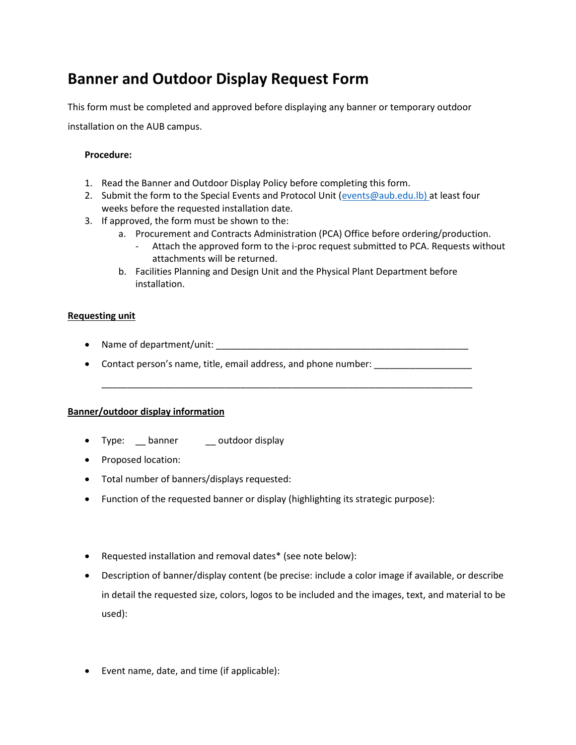# **Banner and Outdoor Display Request Form**

This form must be completed and approved before displaying any banner or temporary outdoor

installation on the AUB campus.

## **Procedure:**

- 1. Read the Banner and Outdoor Display Policy before completing this form.
- 2. Submit the form to the Special Events and Protocol Unit [\(events@aub.edu.lb\)](mailto:events@aub.edu.lb) at least four weeks before the requested installation date.
- 3. If approved, the form must be shown to the:
	- a. Procurement and Contracts Administration (PCA) Office before ordering/production.
		- Attach the approved form to the i-proc request submitted to PCA. Requests without attachments will be returned.
	- b. Facilities Planning and Design Unit and the Physical Plant Department before installation.

## **Requesting unit**

- Name of department/unit: \_\_\_\_\_\_\_\_\_\_\_\_\_\_\_\_\_\_\_\_\_\_\_\_\_\_\_\_\_\_\_\_\_\_\_\_\_\_\_\_\_\_\_\_\_\_\_\_\_
- Contact person's name, title, email address, and phone number:

\_\_\_\_\_\_\_\_\_\_\_\_\_\_\_\_\_\_\_\_\_\_\_\_\_\_\_\_\_\_\_\_\_\_\_\_\_\_\_\_\_\_\_\_\_\_\_\_\_\_\_\_\_\_\_\_\_\_\_\_\_\_\_\_\_\_\_\_\_\_\_\_

#### **Banner/outdoor display information**

- Type: \_\_ banner \_\_\_ outdoor display
- Proposed location:
- Total number of banners/displays requested:
- Function of the requested banner or display (highlighting its strategic purpose):
- Requested installation and removal dates\* (see note below):
- Description of banner/display content (be precise: include a color image if available, or describe in detail the requested size, colors, logos to be included and the images, text, and material to be used):
- Event name, date, and time (if applicable):